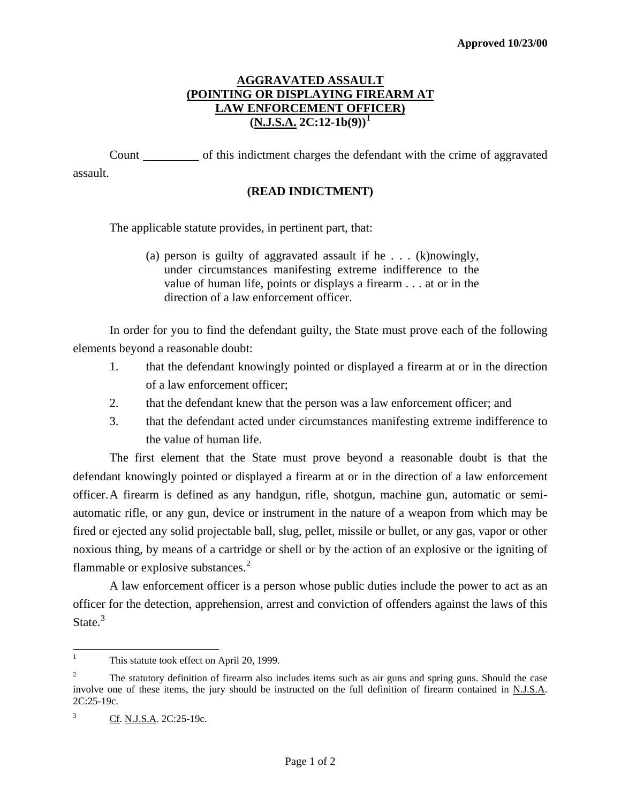## **AGGRAVATED ASSAULT (POINTING OR DISPLAYING FIREARM AT LAW ENFORCEMENT OFFICER)**  $(N.J.S.A. 2C:12-1b(9))^1$  $(N.J.S.A. 2C:12-1b(9))^1$  $(N.J.S.A. 2C:12-1b(9))^1$

 Count of this indictment charges the defendant with the crime of aggravated assault.

## **(READ INDICTMENT)**

The applicable statute provides, in pertinent part, that:

(a) person is guilty of aggravated assault if he . . . (k)nowingly, under circumstances manifesting extreme indifference to the value of human life, points or displays a firearm . . . at or in the direction of a law enforcement officer.

In order for you to find the defendant guilty, the State must prove each of the following elements beyond a reasonable doubt:

- 1. that the defendant knowingly pointed or displayed a firearm at or in the direction of a law enforcement officer;
- 2. that the defendant knew that the person was a law enforcement officer; and
- 3. that the defendant acted under circumstances manifesting extreme indifference to the value of human life.

 The first element that the State must prove beyond a reasonable doubt is that the defendant knowingly pointed or displayed a firearm at or in the direction of a law enforcement officer. A firearm is defined as any handgun, rifle, shotgun, machine gun, automatic or semiautomatic rifle, or any gun, device or instrument in the nature of a weapon from which may be fired or ejected any solid projectable ball, slug, pellet, missile or bullet, or any gas, vapor or other noxious thing, by means of a cartridge or shell or by the action of an explosive or the igniting of flammable or explosive substances.<sup>[2](#page-0-1)</sup>

 A law enforcement officer is a person whose public duties include the power to act as an officer for the detection, apprehension, arrest and conviction of offenders against the laws of this State.<sup>[3](#page-0-2)</sup>

 $\frac{1}{1}$ This statute took effect on April 20, 1999.

<span id="page-0-1"></span><span id="page-0-0"></span><sup>2</sup> The statutory definition of firearm also includes items such as air guns and spring guns. Should the case involve one of these items, the jury should be instructed on the full definition of firearm contained in N.J.S.A. 2C:25-19c.

<span id="page-0-2"></span><sup>&</sup>lt;sup>3</sup> Cf. N.J.S.A. 2C:25-19c.